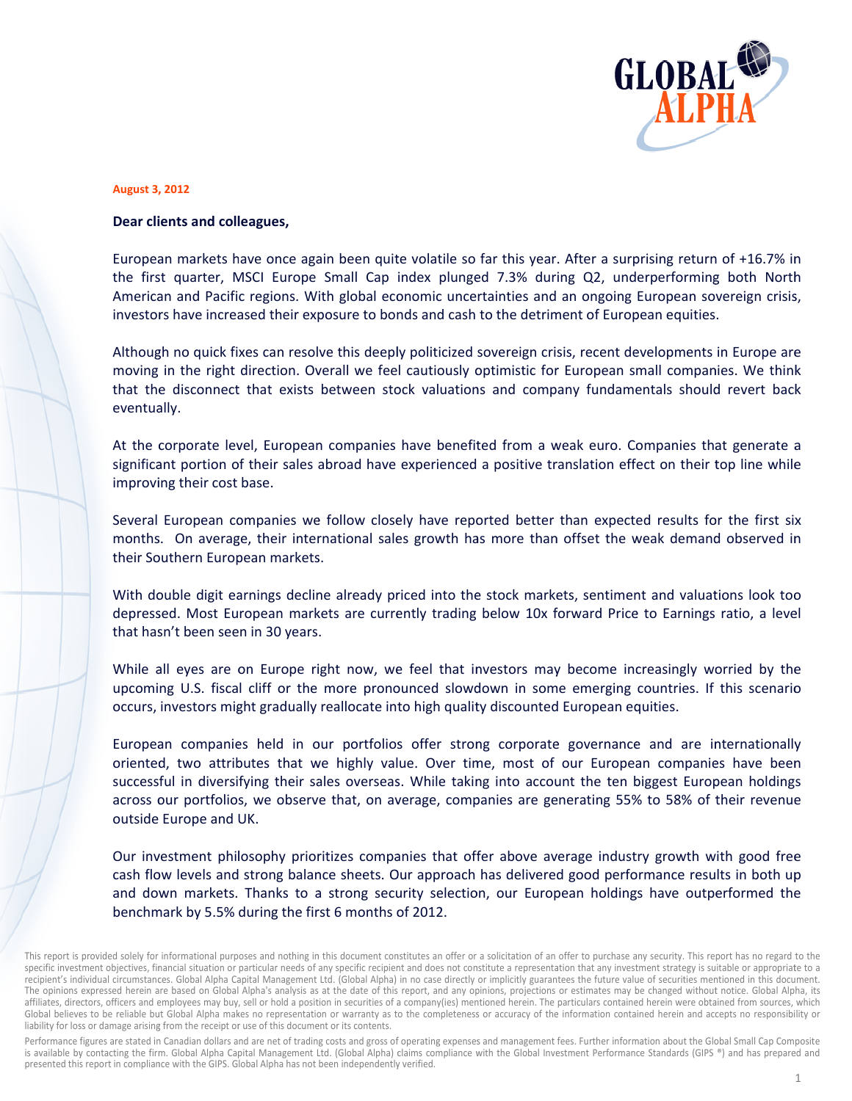

## **August 3, 2012**

## Dear clients and colleagues,

European markets have once again been quite volatile so far this year. After a surprising return of +16.7% in the first quarter, MSCI Europe Small Cap index plunged 7.3% during Q2, underperforming both North American and Pacific regions. With global economic uncertainties and an ongoing European sovereign crisis, investors have increased their exposure to bonds and cash to the detriment of European equities.

Although no quick fixes can resolve this deeply politicized sovereign crisis, recent developments in Europe are moving in the right direction. Overall we feel cautiously optimistic for European small companies. We think that the disconnect that exists between stock valuations and company fundamentals should revert back eventually.

At the corporate level, European companies have benefited from a weak euro. Companies that generate a significant portion of their sales abroad have experienced a positive translation effect on their top line while improving their cost base.

Several European companies we follow closely have reported better than expected results for the first six months. On average, their international sales growth has more than offset the weak demand observed in their Southern European markets.

With double digit earnings decline already priced into the stock markets, sentiment and valuations look too depressed. Most European markets are currently trading below 10x forward Price to Earnings ratio, a level that hasn't been seen in 30 years.

While all eyes are on Europe right now, we feel that investors may become increasingly worried by the upcoming U.S. fiscal cliff or the more pronounced slowdown in some emerging countries. If this scenario occurs, investors might gradually reallocate into high quality discounted European equities.

European companies held in our portfolios offer strong corporate governance and are internationally oriented, two attributes that we highly value. Over time, most of our European companies have been successful in diversifying their sales overseas. While taking into account the ten biggest European holdings across our portfolios, we observe that, on average, companies are generating 55% to 58% of their revenue outside Europe and UK.

Our investment philosophy prioritizes companies that offer above average industry growth with good free cash flow levels and strong balance sheets. Our approach has delivered good performance results in both up and down markets. Thanks to a strong security selection, our European holdings have outperformed the benchmark by 5.5% during the first 6 months of 2012.

Performance figures are stated in Canadian dollars and are net of trading costs and gross of operating expenses and management fees. Further information about the Global Small Cap Composite is available by contacting the firm. Global Alpha Capital Management Ltd. (Global Alpha) claims compliance with the Global Investment Performance Standards (GIPS ®) and has prepared and presented this report in compliance with the GIPS. Global Alpha has not been independently verified.

This report is provided solely for informational purposes and nothing in this document constitutes an offer or a solicitation of an offer to purchase any security. This report has no regard to the specific investment objectives, financial situation or particular needs of any specific recipient and does not constitute a representation that any investment strategy is suitable or appropriate to a recipient's individual circumstances. Global Alpha Capital Management Ltd. (Global Alpha) in no case directly or implicitly guarantees the future value of securities mentioned in this document. The opinions expressed herein are based on Global Alpha's analysis as at the date of this report, and any opinions, projections or estimates may be changed without notice. Global Alpha, its affiliates, directors, officers and employees may buy, sell or hold a position in securities of a company(ies) mentioned herein. The particulars contained herein were obtained from sources, which Global believes to be reliable but Global Alpha makes no representation or warranty as to the completeness or accuracy of the information contained herein and accepts no responsibility or liability for loss or damage arising from the receipt or use of this document or its contents.